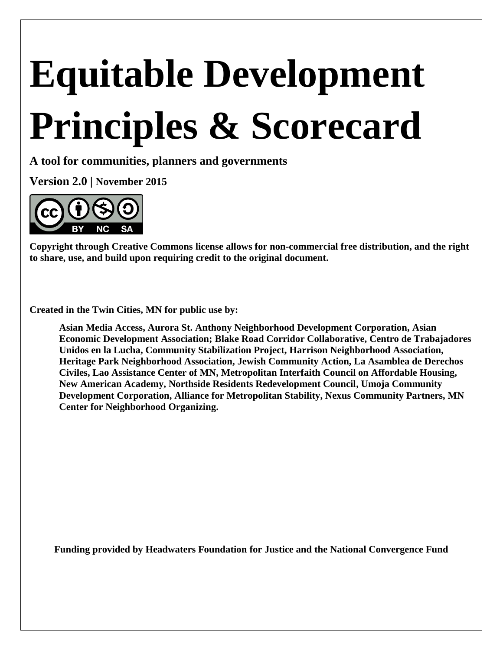# **Equitable Development Principles & Scorecard**

**A tool for communities, planners and governments**

**Version 2.0 | November 2015**



**Copyright through Creative Commons license allows for non-commercial free distribution, and the right to share, use, and build upon requiring credit to the original document.**

**Created in the Twin Cities, MN for public use by:** 

**Asian Media Access, Aurora St. Anthony Neighborhood Development Corporation, Asian Economic Development Association; Blake Road Corridor Collaborative, Centro de Trabajadores Unidos en la Lucha, Community Stabilization Project, Harrison Neighborhood Association, Heritage Park Neighborhood Association, Jewish Community Action, La Asamblea de Derechos Civiles, Lao Assistance Center of MN, Metropolitan Interfaith Council on Affordable Housing, New American Academy, Northside Residents Redevelopment Council, Umoja Community Development Corporation, Alliance for Metropolitan Stability, Nexus Community Partners, MN Center for Neighborhood Organizing.**

**Funding provided by Headwaters Foundation for Justice and the National Convergence Fund**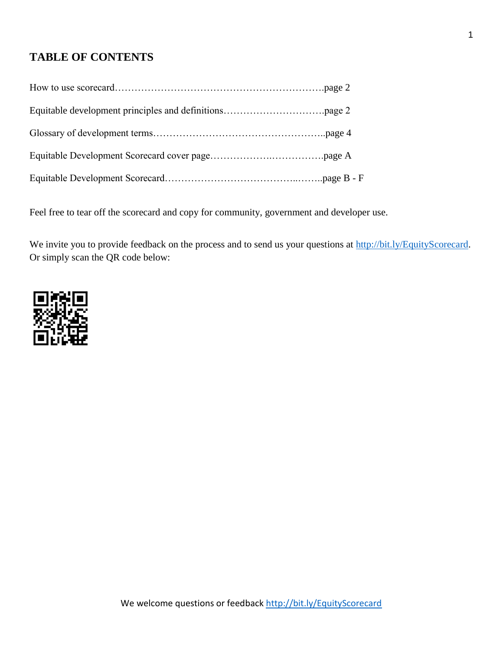# **TABLE OF CONTENTS**

Feel free to tear off the scorecard and copy for community, government and developer use.

We invite you to provide feedback on the process and to send us your questions at [http://bit.ly/EquityScorecard.](http://bit.ly/EquityScorecard) Or simply scan the QR code below:

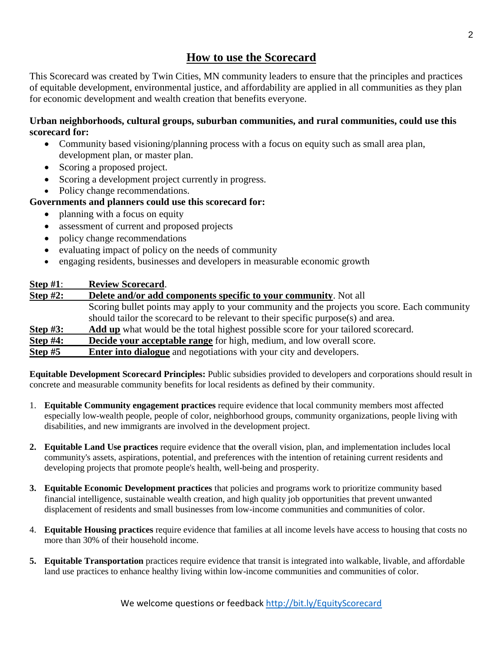# **How to use the Scorecard**

This Scorecard was created by Twin Cities, MN community leaders to ensure that the principles and practices of equitable development, environmental justice, and affordability are applied in all communities as they plan for economic development and wealth creation that benefits everyone.

### **Urban neighborhoods, cultural groups, suburban communities, and rural communities, could use this scorecard for:**

- Community based visioning/planning process with a focus on equity such as small area plan, development plan, or master plan.
- Scoring a proposed project.
- Scoring a development project currently in progress.
- Policy change recommendations.

## **Governments and planners could use this scorecard for:**

- planning with a focus on equity
- assessment of current and proposed projects
- policy change recommendations
- evaluating impact of policy on the needs of community
- engaging residents, businesses and developers in measurable economic growth

## **Step #1**: **Review Scorecard**.

| Step $#2$ :    | Delete and/or add components specific to your community. Not all                             |
|----------------|----------------------------------------------------------------------------------------------|
|                | Scoring bullet points may apply to your community and the projects you score. Each community |
|                | should tailor the scorecard to be relevant to their specific purpose(s) and area.            |
| Step #3:       | Add up what would be the total highest possible score for your tailored scorecard.           |
| Step #4:       | <b>Decide your acceptable range</b> for high, medium, and low overall score.                 |
| <u>Step #5</u> | <b>Enter into dialogue</b> and negotiations with your city and developers.                   |

**Equitable Development Scorecard Principles:** Public subsidies provided to developers and corporations should result in concrete and measurable community benefits for local residents as defined by their community.

- 1. **Equitable Community engagement practices** require evidence that local community members most affected especially low-wealth people, people of color, neighborhood groups, community organizations, people living with disabilities, and new immigrants are involved in the development project.
- **2. Equitable Land Use practices** require evidence that **t**he overall vision, plan, and implementation includes local community's assets, aspirations, potential, and preferences with the intention of retaining current residents and developing projects that promote people's health, well-being and prosperity.
- **3. Equitable Economic Development practices** that policies and programs work to prioritize community based financial intelligence, sustainable wealth creation, and high quality job opportunities that prevent unwanted displacement of residents and small businesses from low-income communities and communities of color.
- 4. **Equitable Housing practices** require evidence that families at all income levels have access to housing that costs no more than 30% of their household income.
- **5. Equitable Transportation** practices require evidence that transit is integrated into walkable, livable, and affordable land use practices to enhance healthy living within low-income communities and communities of color.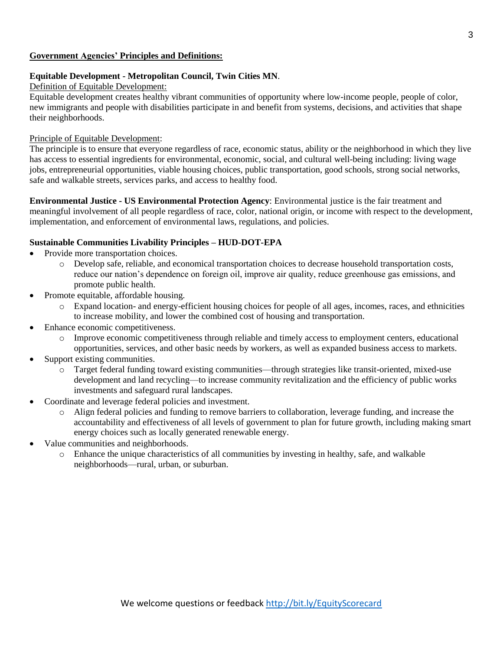#### **Government Agencies' Principles and Definitions:**

#### **Equitable Development - Metropolitan Council, Twin Cities MN**.

#### Definition of Equitable Development:

Equitable development creates healthy vibrant communities of opportunity where low-income people, people of color, new immigrants and people with disabilities participate in and benefit from systems, decisions, and activities that shape their neighborhoods.

#### Principle of Equitable Development:

The principle is to ensure that everyone regardless of race, economic status, ability or the neighborhood in which they live has access to essential ingredients for environmental, economic, social, and cultural well-being including: living wage jobs, entrepreneurial opportunities, viable housing choices, public transportation, good schools, strong social networks, safe and walkable streets, services parks, and access to healthy food.

**Environmental Justice - US Environmental Protection Agency**: Environmental justice is the fair treatment and meaningful involvement of all people regardless of race, color, national origin, or income with respect to the development, implementation, and enforcement of environmental laws, regulations, and policies.

#### **Sustainable Communities Livability Principles – HUD-DOT-EPA**

- Provide more transportation choices.
	- o Develop safe, reliable, and economical transportation choices to decrease household transportation costs, reduce our nation's dependence on foreign oil, improve air quality, reduce greenhouse gas emissions, and promote public health.
- Promote equitable, affordable housing.
	- o Expand location- and energy-efficient housing choices for people of all ages, incomes, races, and ethnicities to increase mobility, and lower the combined cost of housing and transportation.
- Enhance economic competitiveness.
	- o Improve economic competitiveness through reliable and timely access to employment centers, educational opportunities, services, and other basic needs by workers, as well as expanded business access to markets.
- Support existing communities.
	- o Target federal funding toward existing communities—through strategies like transit-oriented, mixed-use development and land recycling—to increase community revitalization and the efficiency of public works investments and safeguard rural landscapes.
- Coordinate and leverage federal policies and investment.
	- o Align federal policies and funding to remove barriers to collaboration, leverage funding, and increase the accountability and effectiveness of all levels of government to plan for future growth, including making smart energy choices such as locally generated renewable energy.
- Value communities and neighborhoods.
	- o Enhance the unique characteristics of all communities by investing in healthy, safe, and walkable neighborhoods—rural, urban, or suburban.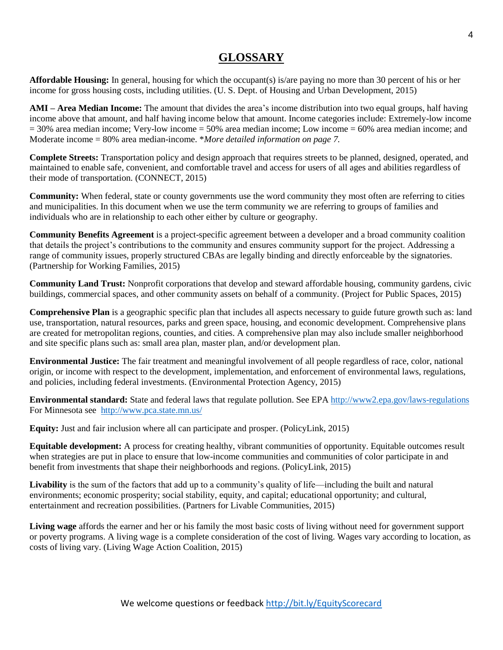# **GLOSSARY**

**Affordable Housing:** In general, housing for which the occupant(s) is/are paying no more than 30 percent of his or her income for gross housing costs, including utilities. (U. S. Dept. of Housing and Urban Development, 2015)

**AMI – Area Median Income:** The amount that divides the area's income distribution into two equal groups, half having income above that amount, and half having income below that amount. Income categories include: Extremely-low income  $= 30\%$  area median income; Very-low income  $= 50\%$  area median income; Low income  $= 60\%$  area median income; and Moderate income = 80% area median-income. \**More detailed information on page 7.*

**Complete Streets:** Transportation policy and design approach that requires streets to be planned, designed, operated, and maintained to enable safe, convenient, and comfortable travel and access for users of all ages and abilities regardless of their mode of transportation. (CONNECT, 2015)

**Community:** When federal, state or county governments use the word community they most often are referring to cities and municipalities. In this document when we use the term community we are referring to groups of families and individuals who are in relationship to each other either by culture or geography.

**Community Benefits Agreement** is a project-specific agreement between a developer and a broad community coalition that details the project's contributions to the community and ensures community support for the project. Addressing a range of community issues, properly structured CBAs are legally binding and directly enforceable by the signatories. (Partnership for Working Families, 2015)

**Community Land Trust:** Nonprofit corporations that develop and steward affordable housing, community gardens, civic buildings, commercial spaces, and other community assets on behalf of a community. (Project for Public Spaces, 2015)

**Comprehensive Plan** is a geographic specific plan that includes all aspects necessary to guide future growth such as: land use, transportation, natural resources, parks and green space, housing, and economic development. Comprehensive plans are created for metropolitan regions, counties, and cities. A comprehensive plan may also include smaller neighborhood and site specific plans such as: small area plan, master plan, and/or development plan.

**Environmental Justice:** The fair treatment and meaningful involvement of all people regardless of race, color, national origin, or income with respect to the development, implementation, and enforcement of environmental laws, regulations, and policies, including federal investments. (Environmental Protection Agency, 2015)

**Environmental standard:** State and federal laws that regulate pollution. See EP[A http://www2.epa.gov/laws-regulations](http://www2.epa.gov/laws-regulations) For Minnesota see <http://www.pca.state.mn.us/>

**Equity:** Just and fair inclusion where all can participate and prosper. (PolicyLink, 2015)

**Equitable development:** A process for creating healthy, vibrant communities of opportunity. Equitable outcomes result when strategies are put in place to ensure that low-income communities and communities of color participate in and benefit from investments that shape their neighborhoods and regions. (PolicyLink, 2015)

Livability is the sum of the factors that add up to a community's quality of life—including the built and natural environments; economic prosperity; social stability, equity, and capital; educational opportunity; and cultural, entertainment and recreation possibilities. (Partners for Livable Communities, 2015)

**Living wage** affords the earner and her or his family the most basic costs of living without need for government support or poverty programs. A living wage is a complete consideration of the cost of living. Wages vary according to location, as costs of living vary. (Living Wage Action Coalition, 2015)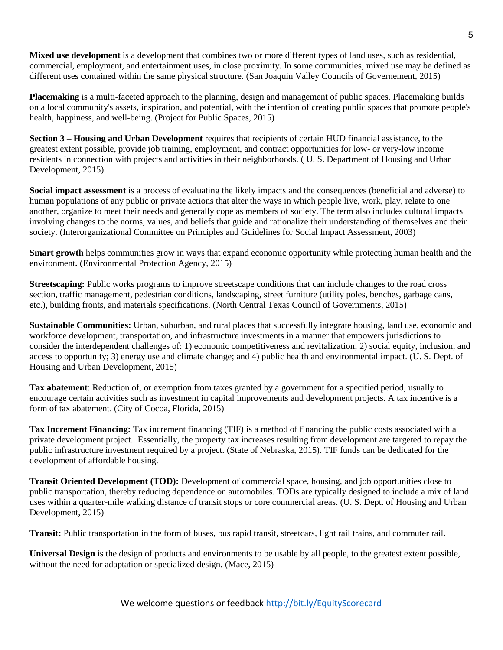**Mixed use development** is a development that combines two or more different types of land uses, such as residential, commercial, employment, and entertainment uses, in close proximity. In some communities, mixed use may be defined as different uses contained within the same physical structure. (San Joaquin Valley Councils of Governement, 2015)

**Placemaking** is a multi-faceted approach to the planning, design and management of public spaces. Placemaking builds on a local community's assets, inspiration, and potential, with the intention of creating public spaces that promote people's health, happiness, and well-being. (Project for Public Spaces, 2015)

**Section 3 – Housing and Urban Development** requires that recipients of certain HUD financial assistance, to the greatest extent possible, provide job training, employment, and contract opportunities for low- or very-low income residents in connection with projects and activities in their neighborhoods. ( U. S. Department of Housing and Urban Development, 2015)

**Social impact assessment** is a process of evaluating the likely impacts and the consequences (beneficial and adverse) to human populations of any public or private actions that alter the ways in which people live, work, play, relate to one another, organize to meet their needs and generally cope as members of society. The term also includes cultural impacts involving changes to the norms, values, and beliefs that guide and rationalize their understanding of themselves and their society. (Interorganizational Committee on Principles and Guidelines for Social Impact Assessment, 2003)

**Smart growth** helps communities grow in ways that expand economic opportunity while protecting human health and the environment**.** (Environmental Protection Agency, 2015)

**Streetscaping:** Public works programs to improve streetscape conditions that can include changes to the road cross section, traffic management, pedestrian conditions, landscaping, street furniture (utility poles, benches, garbage cans, etc.), building fronts, and materials specifications. (North Central Texas Council of Governments, 2015)

**Sustainable Communities:** Urban, suburban, and rural places that successfully integrate housing, land use, economic and workforce development, transportation, and infrastructure investments in a manner that empowers jurisdictions to consider the interdependent challenges of: 1) economic competitiveness and revitalization; 2) social equity, inclusion, and access to opportunity; 3) energy use and climate change; and 4) public health and environmental impact. (U. S. Dept. of Housing and Urban Development, 2015)

**Tax abatement**: Reduction of, or exemption from taxes granted by a government for a specified period, usually to encourage certain activities such as investment in capital improvements and development projects. A tax incentive is a form of tax abatement. (City of Cocoa, Florida, 2015)

**Tax Increment Financing:** Tax increment financing (TIF) is a method of financing the public costs associated with a private development project. Essentially, the property tax increases resulting from development are targeted to repay the public infrastructure investment required by a project. (State of Nebraska, 2015). TIF funds can be dedicated for the development of affordable housing.

**Transit Oriented Development (TOD):** Development of commercial space, housing, and job opportunities close to public transportation, thereby reducing dependence on automobiles. TODs are typically designed to include a mix of land uses within a quarter-mile walking distance of transit stops or core commercial areas. (U. S. Dept. of Housing and Urban Development, 2015)

**Transit:** Public transportation in the form of buses, bus rapid transit, streetcars, light rail trains, and commuter rail**.**

**Universal Design** is the design of products and environments to be usable by all people, to the greatest extent possible, without the need for adaptation or specialized design. (Mace, 2015)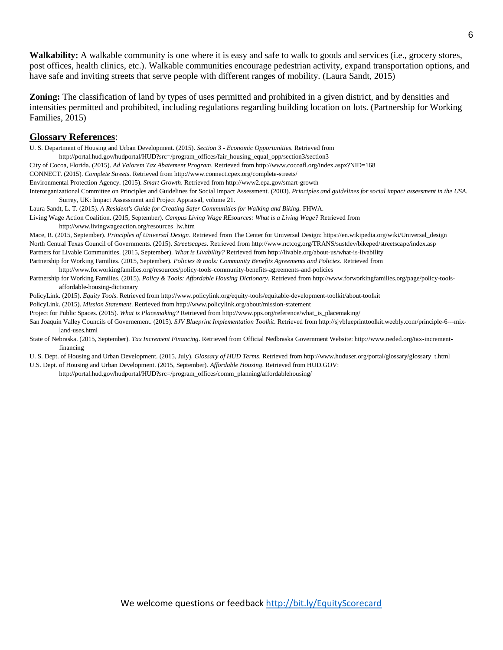**Walkability:** A walkable community is one where it is easy and safe to walk to goods and services (i.e., grocery stores, post offices, health clinics, etc.). Walkable communities encourage pedestrian activity, expand transportation options, and have safe and inviting streets that serve people with different ranges of mobility. (Laura Sandt, 2015)

**Zoning:** The classification of land by types of uses permitted and prohibited in a given district, and by densities and intensities permitted and prohibited, including regulations regarding building location on lots. (Partnership for Working Families, 2015)

#### **Glossary References**:

U. S. Department of Housing and Urban Development. (2015). *Section 3 - Economic Opportunities*. Retrieved from http://portal.hud.gov/hudportal/HUD?src=/program\_offices/fair\_housing\_equal\_opp/section3/section3 City of Cocoa, Florida. (2015). *Ad Valorem Tax Abatement Program*. Retrieved from http://www.cocoafl.org/index.aspx?NID=168 CONNECT. (2015). *Complete Streets*. Retrieved from http://www.connect.cpex.org/complete-streets/ Environmental Protection Agency. (2015). *Smart Growth*. Retrieved from http://www2.epa.gov/smart-growth Interorganizational Committee on Principles and Guidelines for Social Impact Assessment. (2003). *Principles and guidelines for social impact assessment in the USA.* Surrey, UK: Impact Assessment and Project Appraisal, volume 21. Laura Sandt, L. T. (2015). *A Resident's Guide for Creating Safer Communities for Walking and Biking.* FHWA. Living Wage Action Coalition. (2015, September). *Campus Living Wage REsources: What is a Living Wage?* Retrieved from http://www.livingwageaction.org/resources\_lw.htm Mace, R. (2015, September). *Principles of Universal Design*. Retrieved from The Center for Universal Design: https://en.wikipedia.org/wiki/Universal\_design North Central Texas Council of Governments. (2015). *Streetscapes*. Retrieved from http://www.nctcog.org/TRANS/sustdev/bikeped/streetscape/index.asp Partners for Livable Communities. (2015, September). *What is Livability?* Retrieved from http://livable.org/about-us/what-is-livability

Partnership for Working Families. (2015, September). *Policies & tools: Community Benefits Agreements and Policies*. Retrieved from

http://www.forworkingfamilies.org/resources/policy-tools-community-benefits-agreements-and-policies Partnership for Working Families. (2015). *Policy & Tools: Affordable Housing Dictionary*. Retrieved from http://www.forworkingfamilies.org/page/policy-toolsaffordable-housing-dictionary

PolicyLink. (2015). *Equity Tools*. Retrieved from http://www.policylink.org/equity-tools/equitable-development-toolkit/about-toolkit

PolicyLink. (2015). *Mission Statement*. Retrieved from http://www.policylink.org/about/mission-statement

Project for Public Spaces. (2015). *What is Placemaking?* Retrieved from http://www.pps.org/reference/what\_is\_placemaking/

San Joaquin Valley Councils of Governement. (2015). *SJV Blueprint Implementation Toolkit*. Retrieved from http://sjvblueprinttoolkit.weebly.com/principle-6---mixland-uses.html

State of Nebraska. (2015, September). *Tax Increment Financing*. Retrieved from Official Nedbraska Government Website: http://www.neded.org/tax-incrementfinancing

U. S. Dept. of Housing and Urban Development. (2015, July). *Glossary of HUD Terms*. Retrieved from http://www.huduser.org/portal/glossary/glossary\_t.html

U.S. Dept. of Housing and Urban Development. (2015, September). *Affordable Housing*. Retrieved from HUD.GOV:

http://portal.hud.gov/hudportal/HUD?src=/program\_offices/comm\_planning/affordablehousing/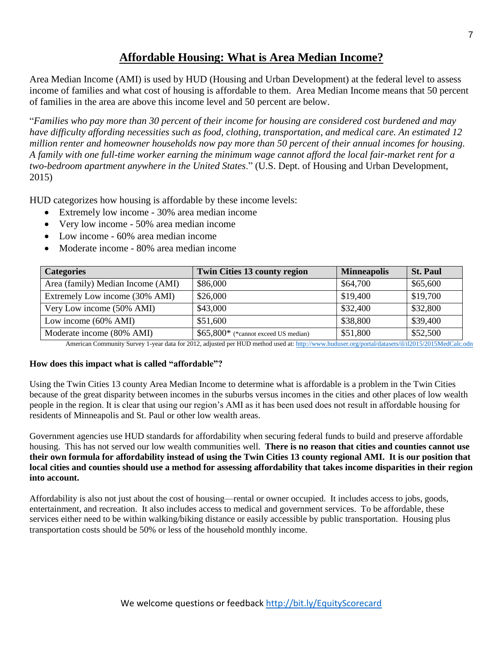# **Affordable Housing: What is Area Median Income?**

Area Median Income (AMI) is used by HUD (Housing and Urban Development) at the federal level to assess income of families and what cost of housing is affordable to them. Area Median Income means that 50 percent of families in the area are above this income level and 50 percent are below.

"*Families who pay more than 30 percent of their income for housing are considered cost burdened and may have difficulty affording necessities such as food, clothing, transportation, and medical care. An estimated 12 million renter and homeowner households now pay more than 50 percent of their annual incomes for housing. A family with one full-time worker earning the minimum wage cannot afford the local fair-market rent for a two-bedroom apartment anywhere in the United States*." (U.S. Dept. of Housing and Urban Development, 2015)

HUD categorizes how housing is affordable by these income levels:

- Extremely low income 30% area median income
- Very low income 50% area median income
- Low income 60% area median income
- Moderate income 80% area median income

| <b>Categories</b>                 | <b>Twin Cities 13 county region</b>   | <b>Minneapolis</b> | <b>St. Paul</b> |
|-----------------------------------|---------------------------------------|--------------------|-----------------|
| Area (family) Median Income (AMI) | \$86,000                              | \$64,700           | \$65,600        |
| Extremely Low income (30% AMI)    | \$26,000                              | \$19,400           | \$19,700        |
| Very Low income (50% AMI)         | \$43,000                              | \$32,400           | \$32,800        |
| Low income (60% AMI)              | \$51,600                              | \$38,800           | \$39,400        |
| Moderate income (80% AMI)         | $$65,800*$ (*cannot exceed US median) | \$51,800           | \$52,500        |

American Community Survey 1-year data for 2012, adjusted per HUD method used at[: http://www.huduser.org/portal/datasets/il/il2015/2015MedCalc.odn](http://www.huduser.org/portal/datasets/il/il2015/2015MedCalc.odn)

#### **How does this impact what is called "affordable"?**

Using the Twin Cities 13 county Area Median Income to determine what is affordable is a problem in the Twin Cities because of the great disparity between incomes in the suburbs versus incomes in the cities and other places of low wealth people in the region. It is clear that using our region's AMI as it has been used does not result in affordable housing for residents of Minneapolis and St. Paul or other low wealth areas.

Government agencies use HUD standards for affordability when securing federal funds to build and preserve affordable housing. This has not served our low wealth communities well. **There is no reason that cities and counties cannot use their own formula for affordability instead of using the Twin Cities 13 county regional AMI. It is our position that local cities and counties should use a method for assessing affordability that takes income disparities in their region into account.**

Affordability is also not just about the cost of housing—rental or owner occupied. It includes access to jobs, goods, entertainment, and recreation. It also includes access to medical and government services. To be affordable, these services either need to be within walking/biking distance or easily accessible by public transportation. Housing plus transportation costs should be 50% or less of the household monthly income.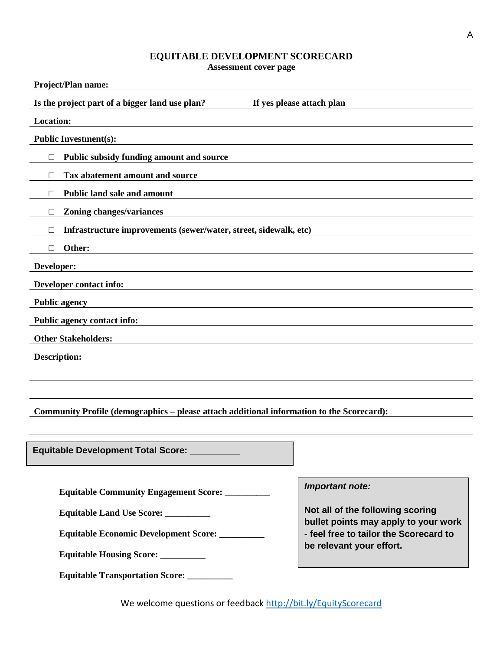## **EQUITABLE DEVELOPMENT SCORECARD**

**Assessment cover page**

| Project/Plan name:  |                                                                                           |                                  |  |
|---------------------|-------------------------------------------------------------------------------------------|----------------------------------|--|
|                     | Is the project part of a bigger land use plan?                                            | If yes please attach plan        |  |
| <b>Location:</b>    |                                                                                           |                                  |  |
|                     | <b>Public Investment(s):</b>                                                              |                                  |  |
| □                   | Public subsidy funding amount and source                                                  |                                  |  |
| П                   | Tax abatement amount and source                                                           |                                  |  |
| □                   | <b>Public land sale and amount</b>                                                        |                                  |  |
| □                   | <b>Zoning changes/variances</b>                                                           |                                  |  |
| П                   | Infrastructure improvements (sewer/water, street, sidewalk, etc)                          |                                  |  |
| □                   | Other:                                                                                    |                                  |  |
| Developer:          |                                                                                           |                                  |  |
|                     | Developer contact info:                                                                   |                                  |  |
|                     | <b>Public agency</b>                                                                      |                                  |  |
|                     | Public agency contact info:                                                               |                                  |  |
|                     | <b>Other Stakeholders:</b>                                                                |                                  |  |
| <b>Description:</b> |                                                                                           |                                  |  |
|                     |                                                                                           |                                  |  |
|                     |                                                                                           |                                  |  |
|                     | Community Profile (demographics - please attach additional information to the Scorecard): |                                  |  |
|                     |                                                                                           |                                  |  |
|                     | Equitable Development Total Score: _                                                      |                                  |  |
|                     |                                                                                           |                                  |  |
|                     | <b>Equitable Community Engagement Score:</b>                                              | <b>Important note:</b>           |  |
|                     | <b>Equitable Land Use Score:</b>                                                          | Not all of the following scoring |  |

**Not all of the following scoring bullet points may apply to your work - feel free to tailor the Scorecard to be relevant your effort.**

We welcome questions or feedback<http://bit.ly/EquityScorecard>

**Equitable Economic Development Score: \_\_\_\_\_\_\_\_\_\_**

**Equitable Housing Score: \_\_\_\_\_\_\_\_\_\_**

**Equitable Transportation Score: \_\_\_\_\_\_\_\_\_\_**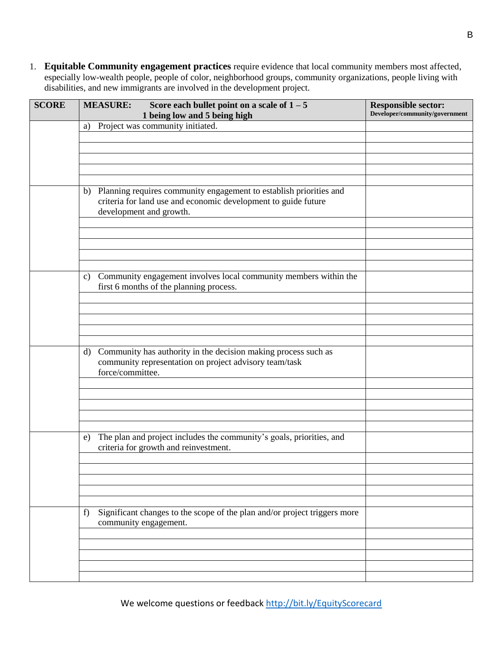1. **Equitable Community engagement practices** require evidence that local community members most affected, especially low-wealth people, people of color, neighborhood groups, community organizations, people living with disabilities, and new immigrants are involved in the development project.

| <b>SCORE</b> | <b>MEASURE:</b>             | Score each bullet point on a scale of $1 - 5$<br>1 being low and 5 being high                                                                                      | <b>Responsible sector:</b><br>Developer/community/government |
|--------------|-----------------------------|--------------------------------------------------------------------------------------------------------------------------------------------------------------------|--------------------------------------------------------------|
|              | a)                          | Project was community initiated.                                                                                                                                   |                                                              |
|              |                             |                                                                                                                                                                    |                                                              |
|              |                             |                                                                                                                                                                    |                                                              |
|              |                             | b) Planning requires community engagement to establish priorities and<br>criteria for land use and economic development to guide future<br>development and growth. |                                                              |
|              |                             |                                                                                                                                                                    |                                                              |
|              | $\mathbf{c})$               | Community engagement involves local community members within the<br>first 6 months of the planning process.                                                        |                                                              |
|              |                             |                                                                                                                                                                    |                                                              |
|              | $\rm d$<br>force/committee. | Community has authority in the decision making process such as<br>community representation on project advisory team/task                                           |                                                              |
|              |                             |                                                                                                                                                                    |                                                              |
|              | e)                          | The plan and project includes the community's goals, priorities, and<br>criteria for growth and reinvestment.                                                      |                                                              |
|              |                             |                                                                                                                                                                    |                                                              |
|              |                             |                                                                                                                                                                    |                                                              |
|              | f)                          | Significant changes to the scope of the plan and/or project triggers more<br>community engagement.                                                                 |                                                              |
|              |                             |                                                                                                                                                                    |                                                              |
|              |                             |                                                                                                                                                                    |                                                              |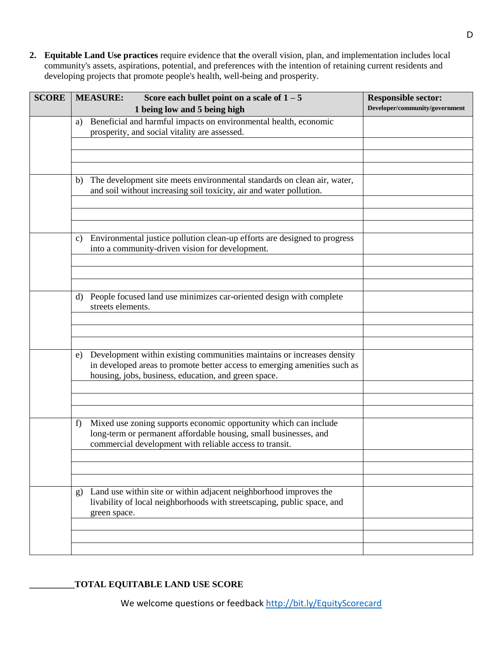**2. Equitable Land Use practices** require evidence that **t**he overall vision, plan, and implementation includes local community's assets, aspirations, potential, and preferences with the intention of retaining current residents and developing projects that promote people's health, well-being and prosperity.

| <b>SCORE</b> | Score each bullet point on a scale of $1 - 5$<br><b>MEASURE:</b>                                                                                                                                                  | <b>Responsible sector:</b><br>Developer/community/government |
|--------------|-------------------------------------------------------------------------------------------------------------------------------------------------------------------------------------------------------------------|--------------------------------------------------------------|
|              | 1 being low and 5 being high                                                                                                                                                                                      |                                                              |
|              | Beneficial and harmful impacts on environmental health, economic<br>a)<br>prosperity, and social vitality are assessed.                                                                                           |                                                              |
|              |                                                                                                                                                                                                                   |                                                              |
|              |                                                                                                                                                                                                                   |                                                              |
|              |                                                                                                                                                                                                                   |                                                              |
|              | The development site meets environmental standards on clean air, water,<br>b)<br>and soil without increasing soil toxicity, air and water pollution.                                                              |                                                              |
|              |                                                                                                                                                                                                                   |                                                              |
|              |                                                                                                                                                                                                                   |                                                              |
|              | Environmental justice pollution clean-up efforts are designed to progress<br>c)<br>into a community-driven vision for development.                                                                                |                                                              |
|              |                                                                                                                                                                                                                   |                                                              |
|              |                                                                                                                                                                                                                   |                                                              |
|              | People focused land use minimizes car-oriented design with complete<br>d)                                                                                                                                         |                                                              |
|              | streets elements.                                                                                                                                                                                                 |                                                              |
|              |                                                                                                                                                                                                                   |                                                              |
|              |                                                                                                                                                                                                                   |                                                              |
|              | Development within existing communities maintains or increases density<br>e)<br>in developed areas to promote better access to emerging amenities such as<br>housing, jobs, business, education, and green space. |                                                              |
|              |                                                                                                                                                                                                                   |                                                              |
|              |                                                                                                                                                                                                                   |                                                              |
|              | Mixed use zoning supports economic opportunity which can include<br>f)<br>long-term or permanent affordable housing, small businesses, and<br>commercial development with reliable access to transit.             |                                                              |
|              |                                                                                                                                                                                                                   |                                                              |
|              |                                                                                                                                                                                                                   |                                                              |
|              | Land use within site or within adjacent neighborhood improves the                                                                                                                                                 |                                                              |
|              | $\mathbf{g}$<br>livability of local neighborhoods with streetscaping, public space, and<br>green space.                                                                                                           |                                                              |
|              |                                                                                                                                                                                                                   |                                                              |
|              |                                                                                                                                                                                                                   |                                                              |
|              |                                                                                                                                                                                                                   |                                                              |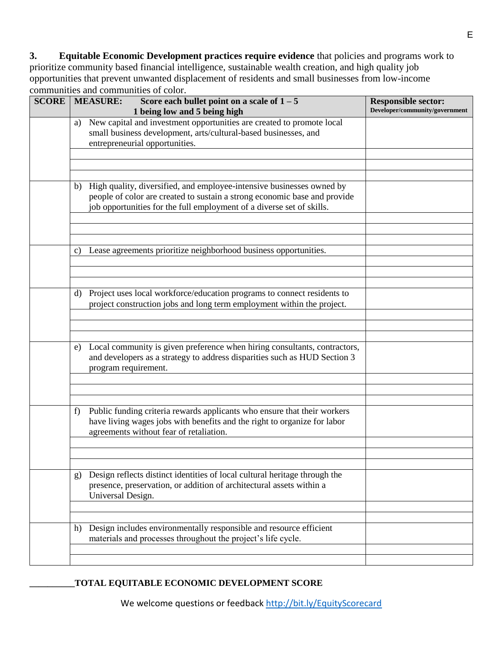**3. Equitable Economic Development practices require evidence** that policies and programs work to prioritize community based financial intelligence, sustainable wealth creation, and high quality job opportunities that prevent unwanted displacement of residents and small businesses from low-income communities and communities of color.

| <b>SCORE</b> | <b>MEASURE:</b>         | Score each bullet point on a scale of $1 - 5$<br>1 being low and 5 being high                                                                                                                                               | <b>Responsible sector:</b><br>Developer/community/government |
|--------------|-------------------------|-----------------------------------------------------------------------------------------------------------------------------------------------------------------------------------------------------------------------------|--------------------------------------------------------------|
|              | a)                      | New capital and investment opportunities are created to promote local<br>small business development, arts/cultural-based businesses, and<br>entrepreneurial opportunities.                                                  |                                                              |
|              |                         |                                                                                                                                                                                                                             |                                                              |
|              | b)                      | High quality, diversified, and employee-intensive businesses owned by<br>people of color are created to sustain a strong economic base and provide<br>job opportunities for the full employment of a diverse set of skills. |                                                              |
|              |                         |                                                                                                                                                                                                                             |                                                              |
|              | $\mathbf{c}$            | Lease agreements prioritize neighborhood business opportunities.                                                                                                                                                            |                                                              |
|              | d)                      | Project uses local workforce/education programs to connect residents to<br>project construction jobs and long term employment within the project.                                                                           |                                                              |
|              |                         |                                                                                                                                                                                                                             |                                                              |
|              | e)                      | Local community is given preference when hiring consultants, contractors,<br>and developers as a strategy to address disparities such as HUD Section 3<br>program requirement.                                              |                                                              |
|              |                         |                                                                                                                                                                                                                             |                                                              |
|              | f)                      | Public funding criteria rewards applicants who ensure that their workers<br>have living wages jobs with benefits and the right to organize for labor<br>agreements without fear of retaliation.                             |                                                              |
|              |                         |                                                                                                                                                                                                                             |                                                              |
|              | g)<br>Universal Design. | Design reflects distinct identities of local cultural heritage through the<br>presence, preservation, or addition of architectural assets within a                                                                          |                                                              |
|              |                         |                                                                                                                                                                                                                             |                                                              |
|              | h)                      | Design includes environmentally responsible and resource efficient<br>materials and processes throughout the project's life cycle.                                                                                          |                                                              |
|              |                         |                                                                                                                                                                                                                             |                                                              |

## **\_\_\_\_\_\_\_\_\_\_TOTAL EQUITABLE ECONOMIC DEVELOPMENT SCORE**

We welcome questions or feedback<http://bit.ly/EquityScorecard>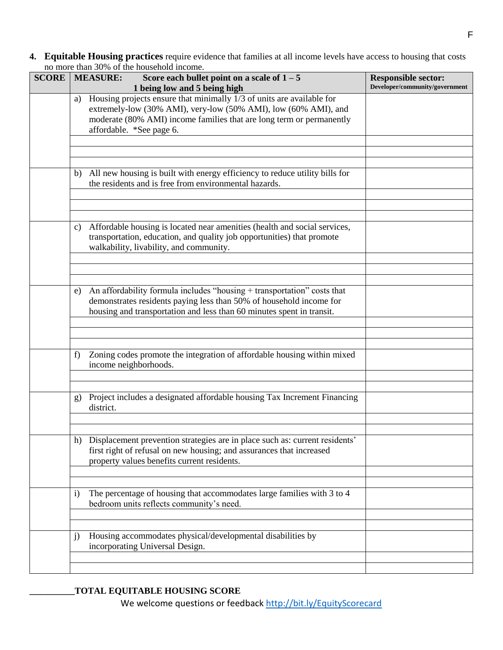**4. Equitable Housing practices** require evidence that families at all income levels have access to housing that costs no more than 30% of the household income.

| 110 11101 <b>0</b> 111<br><b>SCORE</b> | <b>MEASURE:</b>           | Score each bullet point on a scale of $1 - 5$<br>1 being low and 5 being high                                                                                                                                                                | <b>Responsible sector:</b><br>Developer/community/government |
|----------------------------------------|---------------------------|----------------------------------------------------------------------------------------------------------------------------------------------------------------------------------------------------------------------------------------------|--------------------------------------------------------------|
|                                        | a)                        | Housing projects ensure that minimally 1/3 of units are available for<br>extremely-low (30% AMI), very-low (50% AMI), low (60% AMI), and<br>moderate (80% AMI) income families that are long term or permanently<br>affordable. *See page 6. |                                                              |
|                                        |                           |                                                                                                                                                                                                                                              |                                                              |
|                                        | b)                        | All new housing is built with energy efficiency to reduce utility bills for<br>the residents and is free from environmental hazards.                                                                                                         |                                                              |
|                                        | C)                        | Affordable housing is located near amenities (health and social services,<br>transportation, education, and quality job opportunities) that promote<br>walkability, livability, and community.                                               |                                                              |
|                                        | e)                        | An affordability formula includes "housing + transportation" costs that<br>demonstrates residents paying less than 50% of household income for<br>housing and transportation and less than 60 minutes spent in transit.                      |                                                              |
|                                        | f                         | Zoning codes promote the integration of affordable housing within mixed<br>income neighborhoods.                                                                                                                                             |                                                              |
|                                        | $\mathbf{g}$<br>district. | Project includes a designated affordable housing Tax Increment Financing                                                                                                                                                                     |                                                              |
|                                        |                           | h) Displacement prevention strategies are in place such as: current residents'<br>first right of refusal on new housing; and assurances that increased<br>property values benefits current residents.                                        |                                                              |
|                                        | $\mathbf{i}$              | The percentage of housing that accommodates large families with 3 to 4<br>bedroom units reflects community's need.                                                                                                                           |                                                              |
|                                        | $\mathbf{j}$              | Housing accommodates physical/developmental disabilities by<br>incorporating Universal Design.                                                                                                                                               |                                                              |
|                                        |                           |                                                                                                                                                                                                                                              |                                                              |

## **\_\_\_\_\_\_\_\_\_\_TOTAL EQUITABLE HOUSING SCORE**

We welcome questions or feedback<http://bit.ly/EquityScorecard>